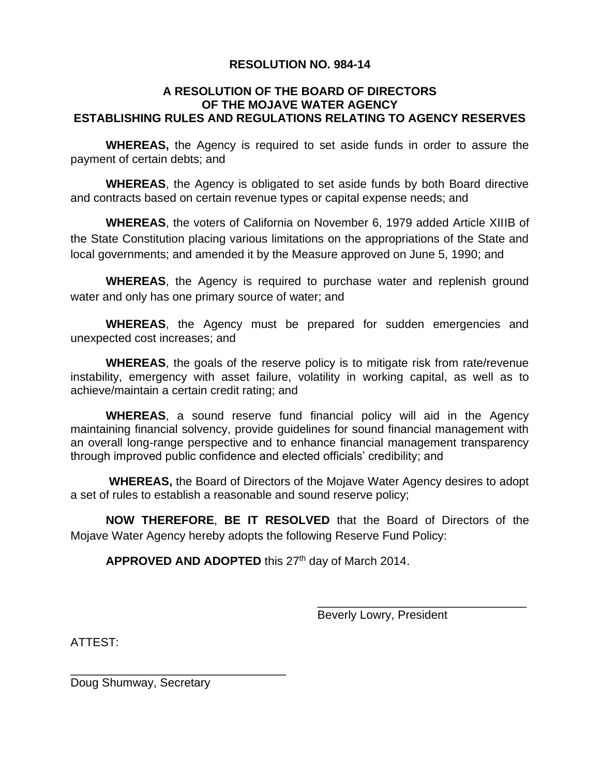# **RESOLUTION NO. 984-14**

### **A RESOLUTION OF THE BOARD OF DIRECTORS OF THE MOJAVE WATER AGENCY ESTABLISHING RULES AND REGULATIONS RELATING TO AGENCY RESERVES**

**WHEREAS,** the Agency is required to set aside funds in order to assure the payment of certain debts; and

**WHEREAS**, the Agency is obligated to set aside funds by both Board directive and contracts based on certain revenue types or capital expense needs; and

**WHEREAS**, the voters of California on November 6, 1979 added Article XIIIB of the State Constitution placing various limitations on the appropriations of the State and local governments; and amended it by the Measure approved on June 5, 1990; and

**WHEREAS**, the Agency is required to purchase water and replenish ground water and only has one primary source of water; and

**WHEREAS**, the Agency must be prepared for sudden emergencies and unexpected cost increases; and

**WHEREAS**, the goals of the reserve policy is to mitigate risk from rate/revenue instability, emergency with asset failure, volatility in working capital, as well as to achieve/maintain a certain credit rating; and

**WHEREAS**, a sound reserve fund financial policy will aid in the Agency maintaining financial solvency, provide guidelines for sound financial management with an overall long-range perspective and to enhance financial management transparency through improved public confidence and elected officials' credibility; and

**WHEREAS,** the Board of Directors of the Mojave Water Agency desires to adopt a set of rules to establish a reasonable and sound reserve policy;

**NOW THEREFORE**, **BE IT RESOLVED** that the Board of Directors of the Mojave Water Agency hereby adopts the following Reserve Fund Policy:

APPROVED AND ADOPTED this 27<sup>th</sup> day of March 2014.

Beverly Lowry, President

\_\_\_\_\_\_\_\_\_\_\_\_\_\_\_\_\_\_\_\_\_\_\_\_\_\_\_\_\_\_\_\_

ATTEST:

Doug Shumway, Secretary

\_\_\_\_\_\_\_\_\_\_\_\_\_\_\_\_\_\_\_\_\_\_\_\_\_\_\_\_\_\_\_\_\_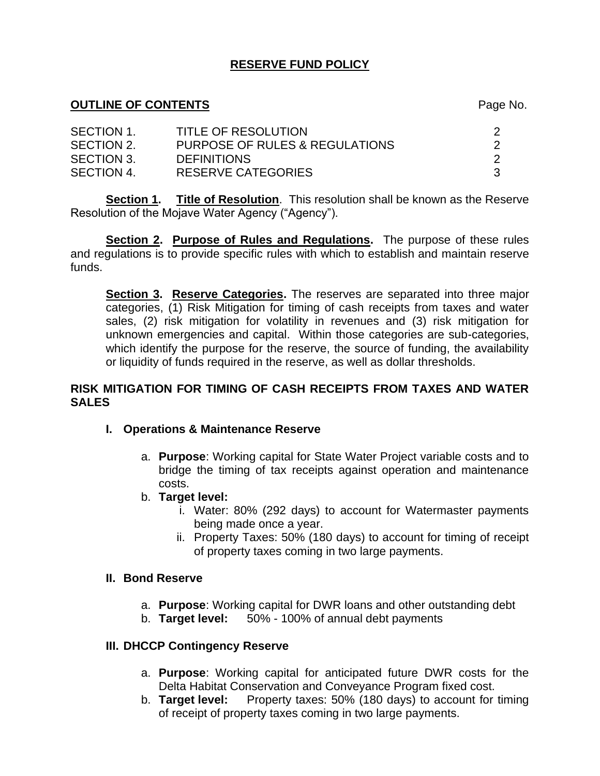# **RESERVE FUND POLICY**

#### **OUTLINE OF CONTENTS** Page No.

| SECTION 1. | <b>TITLE OF RESOLUTION</b>     |  |
|------------|--------------------------------|--|
| SECTION 2. | PURPOSE OF RULES & REGULATIONS |  |
| SECTION 3. | <b>DEFINITIONS</b>             |  |
| SECTION 4. | RESERVE CATEGORIES             |  |

**Section 1. Title of Resolution**. This resolution shall be known as the Reserve Resolution of the Mojave Water Agency ("Agency").

**Section 2. Purpose of Rules and Regulations.** The purpose of these rules and regulations is to provide specific rules with which to establish and maintain reserve funds.

**Section 3. Reserve Categories.** The reserves are separated into three major categories, (1) Risk Mitigation for timing of cash receipts from taxes and water sales, (2) risk mitigation for volatility in revenues and (3) risk mitigation for unknown emergencies and capital. Within those categories are sub-categories, which identify the purpose for the reserve, the source of funding, the availability or liquidity of funds required in the reserve, as well as dollar thresholds.

#### **RISK MITIGATION FOR TIMING OF CASH RECEIPTS FROM TAXES AND WATER SALES**

- **I. Operations & Maintenance Reserve**
	- a. **Purpose**: Working capital for State Water Project variable costs and to bridge the timing of tax receipts against operation and maintenance costs.
	- b. **Target level:**
		- i. Water: 80% (292 days) to account for Watermaster payments being made once a year.
		- ii. Property Taxes: 50% (180 days) to account for timing of receipt of property taxes coming in two large payments.

#### **II. Bond Reserve**

- a. **Purpose**: Working capital for DWR loans and other outstanding debt
- b. **Target level:** 50% 100% of annual debt payments

#### **III. DHCCP Contingency Reserve**

- a. **Purpose**: Working capital for anticipated future DWR costs for the Delta Habitat Conservation and Conveyance Program fixed cost.
- b. **Target level:** Property taxes: 50% (180 days) to account for timing of receipt of property taxes coming in two large payments.